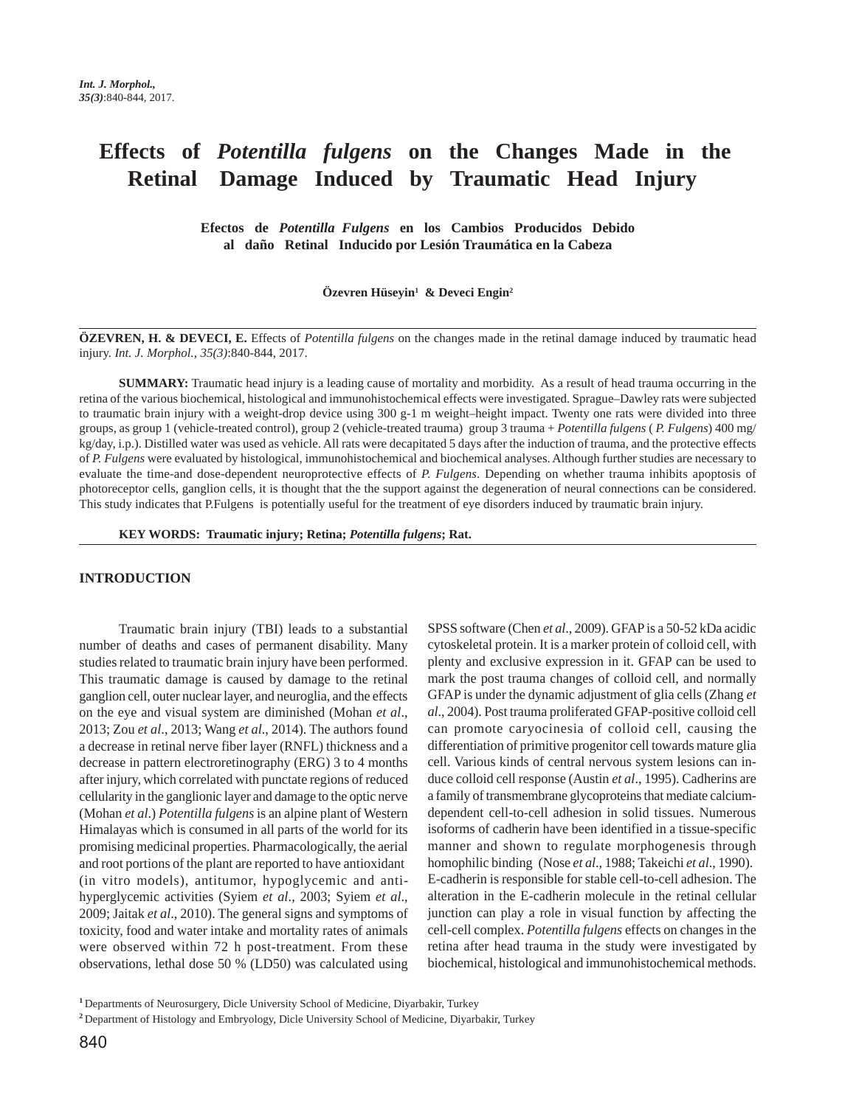# **Effects of** *Potentilla fulgens* **on the Changes Made in the Retinal Damage Induced by Traumatic Head Injury**

**Efectos de** *Potentilla Fulgens* **en los Cambios Producidos Debido al daño Retinal Inducido por Lesión Traumática en la Cabeza**

Özevren Hüseyin<sup>1</sup> & Deveci Engin<sup>2</sup>

**ÖZEVREN, H. & DEVECI, E.** Effects of *Potentilla fulgens* on the changes made in the retinal damage induced by traumatic head injury. *Int. J. Morphol., 35(3)*:840-844, 2017.

**SUMMARY:** Traumatic head injury is a leading cause of mortality and morbidity. As a result of head trauma occurring in the retina of the various biochemical, histological and immunohistochemical effects were investigated. Sprague–Dawley rats were subjected to traumatic brain injury with a weight-drop device using 300 g-1 m weight–height impact. Twenty one rats were divided into three groups, as group 1 (vehicle-treated control), group 2 (vehicle-treated trauma) group 3 trauma + *Potentilla fulgens* ( *P. Fulgens*) 400 mg/ kg/day, i.p.). Distilled water was used as vehicle. All rats were decapitated 5 days after the induction of trauma, and the protective effects of *P. Fulgens* were evaluated by histological, immunohistochemical and biochemical analyses. Although further studies are necessary to evaluate the time-and dose-dependent neuroprotective effects of *P. Fulgens*. Depending on whether trauma inhibits apoptosis of photoreceptor cells, ganglion cells, it is thought that the the support against the degeneration of neural connections can be considered. This study indicates that P.Fulgens is potentially useful for the treatment of eye disorders induced by traumatic brain injury.

**KEY WORDS: Traumatic injury; Retina;** *Potentilla fulgens***; Rat.**

### **INTRODUCTION**

Traumatic brain injury (TBI) leads to a substantial number of deaths and cases of permanent disability. Many studies related to traumatic brain injury have been performed. This traumatic damage is caused by damage to the retinal ganglion cell, outer nuclear layer, and neuroglia, and the effects on the eye and visual system are diminished (Mohan *et al*., 2013; Zou *et al*., 2013; Wang *et al*., 2014). The authors found a decrease in retinal nerve fiber layer (RNFL) thickness and a decrease in pattern electroretinography (ERG) 3 to 4 months after injury, which correlated with punctate regions of reduced cellularity in the ganglionic layer and damage to the optic nerve (Mohan *et al*.) *Potentilla fulgens* is an alpine plant of Western Himalayas which is consumed in all parts of the world for its promising medicinal properties. Pharmacologically, the aerial and root portions of the plant are reported to have antioxidant (in vitro models), antitumor, hypoglycemic and antihyperglycemic activities (Syiem *et al*., 2003; Syiem *et al*., 2009; Jaitak *et al*., 2010). The general signs and symptoms of toxicity, food and water intake and mortality rates of animals were observed within 72 h post-treatment. From these observations, lethal dose 50 % (LD50) was calculated using SPSS software (Chen *et al*., 2009). GFAP is a 50-52 kDa acidic cytoskeletal protein. It is a marker protein of colloid cell, with plenty and exclusive expression in it. GFAP can be used to mark the post trauma changes of colloid cell, and normally GFAP is under the dynamic adjustment of glia cells (Zhang *et al*., 2004). Post trauma proliferated GFAP-positive colloid cell can promote caryocinesia of colloid cell, causing the differentiation of primitive progenitor cell towards mature glia cell. Various kinds of central nervous system lesions can induce colloid cell response (Austin *et al*., 1995). Cadherins are a family of transmembrane glycoproteins that mediate calciumdependent cell-to-cell adhesion in solid tissues. Numerous isoforms of cadherin have been identified in a tissue-specific manner and shown to regulate morphogenesis through homophilic binding (Nose *et al*., 1988; Takeichi *et al*., 1990). E-cadherin is responsible for stable cell-to-cell adhesion. The alteration in the E-cadherin molecule in the retinal cellular junction can play a role in visual function by affecting the cell-cell complex. *Potentilla fulgens* effects on changes in the retina after head trauma in the study were investigated by biochemical, histological and immunohistochemical methods.

**<sup>1</sup>**Departments of Neurosurgery, Dicle University School of Medicine, Diyarbakir, Turkey

**<sup>2</sup>**Department of Histology and Embryology, Dicle University School of Medicine, Diyarbakir, Turkey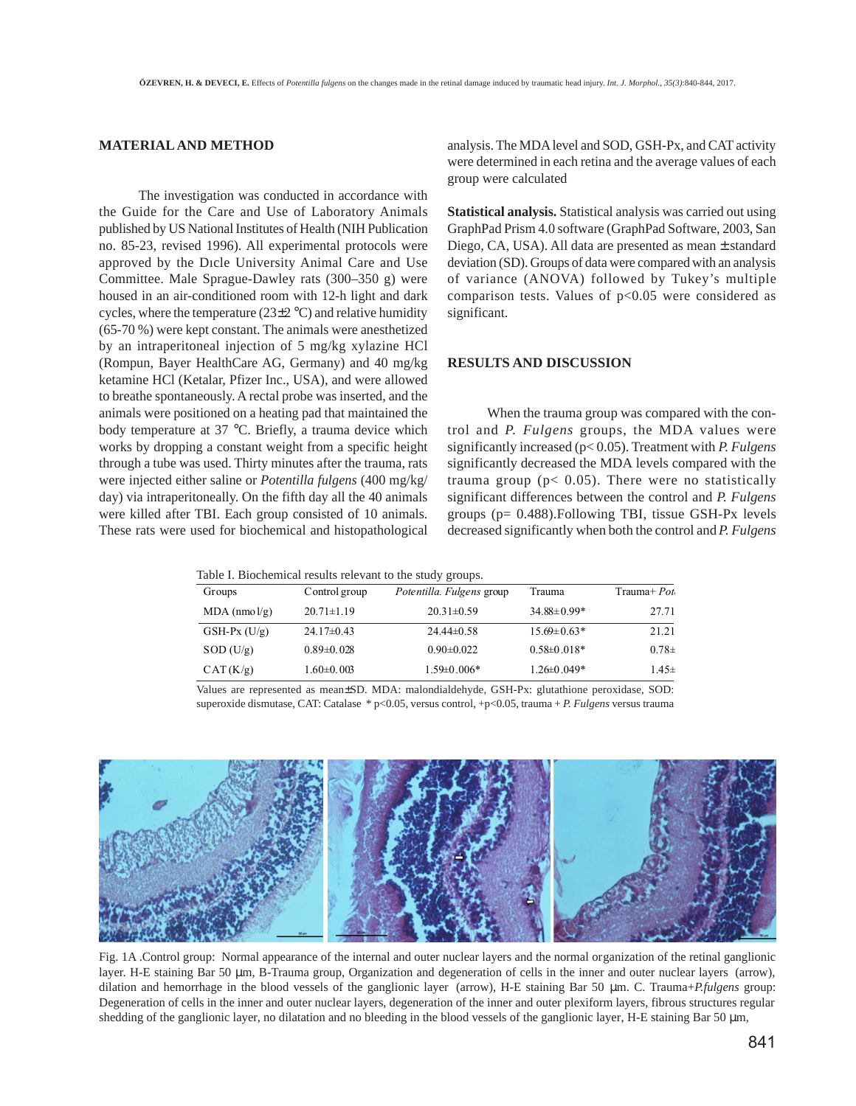## **MATERIAL AND METHOD**

The investigation was conducted in accordance with the Guide for the Care and Use of Laboratory Animals published by US National Institutes of Health (NIH Publication no. 85-23, revised 1996). All experimental protocols were approved by the Dıcle University Animal Care and Use Committee. Male Sprague-Dawley rats (300–350 g) were housed in an air-conditioned room with 12-h light and dark cycles, where the temperature ( $23\pm2$  °C) and relative humidity (65-70 %) were kept constant. The animals were anesthetized by an intraperitoneal injection of 5 mg/kg xylazine HCl (Rompun, Bayer HealthCare AG, Germany) and 40 mg/kg ketamine HCl (Ketalar, Pfizer Inc., USA), and were allowed to breathe spontaneously. A rectal probe was inserted, and the animals were positioned on a heating pad that maintained the body temperature at 37 °C. Briefly, a trauma device which works by dropping a constant weight from a specific height through a tube was used. Thirty minutes after the trauma, rats were injected either saline or *Potentilla fulgens* (400 mg/kg/ day) via intraperitoneally. On the fifth day all the 40 animals were killed after TBI. Each group consisted of 10 animals. These rats were used for biochemical and histopathological

analysis. The MDA level and SOD, GSH-Px, and CAT activity were determined in each retina and the average values of each group were calculated

**Statistical analysis.** Statistical analysis was carried out using GraphPad Prism 4.0 software (GraphPad Software, 2003, San Diego, CA, USA). All data are presented as mean ± standard deviation (SD). Groups of data were compared with an analysis of variance (ANOVA) followed by Tukey's multiple comparison tests. Values of p<0.05 were considered as significant.

## **RESULTS AND DISCUSSION**

When the trauma group was compared with the control and *P. Fulgens* groups, the MDA values were significantly increased (p< 0.05). Treatment with *P. Fulgens* significantly decreased the MDA levels compared with the trauma group ( $p$ < 0.05). There were no statistically significant differences between the control and *P. Fulgens* groups (p= 0.488).Following TBI, tissue GSH-Px levels decreased significantly when both the control and *P. Fulgens*

| Table I. Biochemical results relevant to the study groups. |  |  |  |  |
|------------------------------------------------------------|--|--|--|--|
|------------------------------------------------------------|--|--|--|--|

| Groups           | Control group    | Potentilla. Fulgens group | Trauma            | $Trauma+Pot$ |
|------------------|------------------|---------------------------|-------------------|--------------|
| MDA (nmo l/g)    | $20.71 \pm 1.19$ | $20.31 \pm 0.59$          | $34.88 \pm 0.99*$ | 27.71        |
| $GSH-PX$ $(U/g)$ | $24.17\pm0.43$   | $24.44\pm0.58$            | $15.69 \pm 0.63*$ | 21.21        |
| SOD (U/g)        | $0.89 \pm 0.028$ | $0.90 \pm 0.022$          | $0.58 \pm 0.018*$ | $0.78\pm$    |
| CAT(K/g)         | $1.60 \pm 0.003$ | $1.59 \pm 0.006*$         | $1.26 \pm 0.049*$ | $1.45 \pm$   |

Values are represented as mean±SD. MDA: malondialdehyde, GSH-Px: glutathione peroxidase, SOD: superoxide dismutase, CAT: Catalase \* p<0.05, versus control, +p<0.05, trauma + *P. Fulgens* versus trauma



Fig. 1A .Control group: Normal appearance of the internal and outer nuclear layers and the normal organization of the retinal ganglionic layer. H-E staining Bar 50 µm, B-Trauma group, Organization and degeneration of cells in the inner and outer nuclear layers (arrow), dilation and hemorrhage in the blood vessels of the ganglionic layer (arrow), H-E staining Bar 50 µm. C. Trauma+*P.fulgens* group: Degeneration of cells in the inner and outer nuclear layers, degeneration of the inner and outer plexiform layers, fibrous structures regular shedding of the ganglionic layer, no dilatation and no bleeding in the blood vessels of the ganglionic layer, H-E staining Bar 50 µm,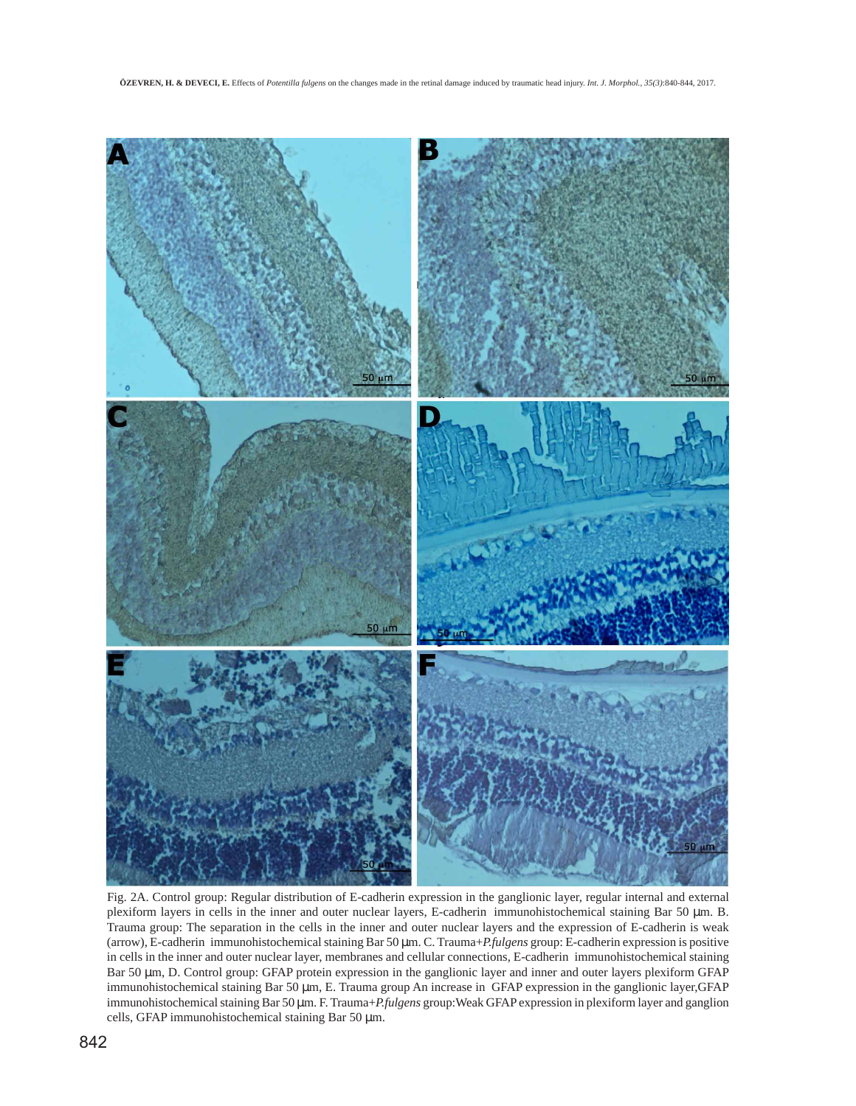

Fig. 2A. Control group: Regular distribution of E-cadherin expression in the ganglionic layer, regular internal and external plexiform layers in cells in the inner and outer nuclear layers, E-cadherin immunohistochemical staining Bar 50 µm. B. Trauma group: The separation in the cells in the inner and outer nuclear layers and the expression of E-cadherin is weak (arrow), E-cadherin immunohistochemical staining Bar 50 µm. C. Trauma+*P.fulgens* group: E-cadherin expression is positive in cells in the inner and outer nuclear layer, membranes and cellular connections, E-cadherin immunohistochemical staining Bar 50 µm, D. Control group: GFAP protein expression in the ganglionic layer and inner and outer layers plexiform GFAP immunohistochemical staining Bar 50 µm, E. Trauma group An increase in GFAP expression in the ganglionic layer,GFAP immunohistochemical staining Bar 50 µm. F. Trauma+*P.fulgens* group:Weak GFAP expression in plexiform layer and ganglion cells, GFAP immunohistochemical staining Bar 50 µm.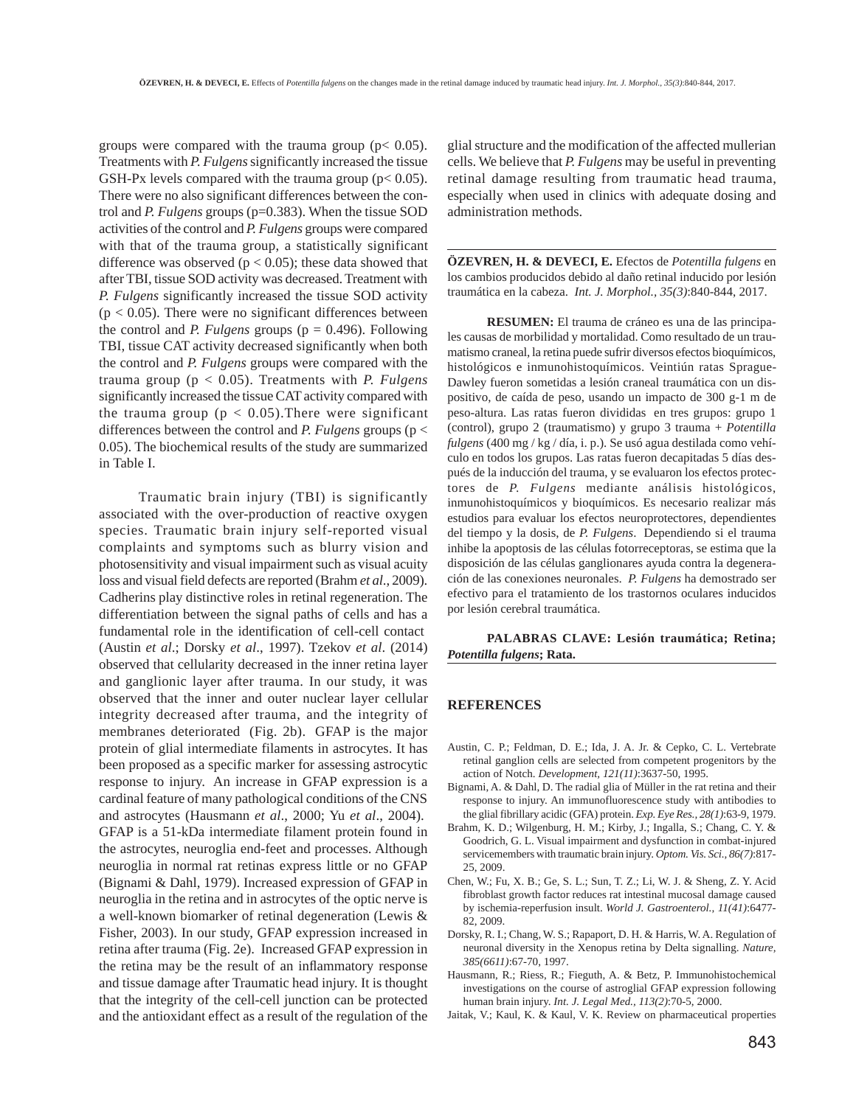groups were compared with the trauma group ( $p$ < 0.05). Treatments with *P. Fulgens* significantly increased the tissue GSH-Px levels compared with the trauma group ( $p < 0.05$ ). There were no also significant differences between the control and *P. Fulgens* groups (p=0.383). When the tissue SOD activities of the control and *P. Fulgens* groups were compared with that of the trauma group, a statistically significant difference was observed ( $p < 0.05$ ); these data showed that after TBI, tissue SOD activity was decreased. Treatment with *P. Fulgens* significantly increased the tissue SOD activity  $(p < 0.05)$ . There were no significant differences between the control and *P. Fulgens* groups ( $p = 0.496$ ). Following TBI, tissue CAT activity decreased significantly when both the control and *P. Fulgens* groups were compared with the trauma group (p < 0.05). Treatments with *P. Fulgens* significantly increased the tissue CAT activity compared with the trauma group ( $p < 0.05$ ). There were significant differences between the control and *P. Fulgens* groups (p < 0.05). The biochemical results of the study are summarized in Table I.

Traumatic brain injury (TBI) is significantly associated with the over-production of reactive oxygen species. Traumatic brain injury self-reported visual complaints and symptoms such as blurry vision and photosensitivity and visual impairment such as visual acuity loss and visual field defects are reported (Brahm *et al*., 2009). Cadherins play distinctive roles in retinal regeneration. The differentiation between the signal paths of cells and has a fundamental role in the identification of cell-cell contact (Austin *et al*.; Dorsky *et al*., 1997). Tzekov *et al*. (2014) observed that cellularity decreased in the inner retina layer and ganglionic layer after trauma. In our study, it was observed that the inner and outer nuclear layer cellular integrity decreased after trauma, and the integrity of membranes deteriorated (Fig. 2b). GFAP is the major protein of glial intermediate filaments in astrocytes. It has been proposed as a specific marker for assessing astrocytic response to injury. An increase in GFAP expression is a cardinal feature of many pathological conditions of the CNS and astrocytes (Hausmann *et al*., 2000; Yu *et al*., 2004). GFAP is a 51-kDa intermediate filament protein found in the astrocytes, neuroglia end-feet and processes. Although neuroglia in normal rat retinas express little or no GFAP (Bignami & Dahl, 1979). Increased expression of GFAP in neuroglia in the retina and in astrocytes of the optic nerve is a well-known biomarker of retinal degeneration (Lewis & Fisher, 2003). In our study, GFAP expression increased in retina after trauma (Fig. 2e). Increased GFAP expression in the retina may be the result of an inflammatory response and tissue damage after Traumatic head injury. It is thought that the integrity of the cell-cell junction can be protected and the antioxidant effect as a result of the regulation of the

glial structure and the modification of the affected mullerian cells. We believe that *P. Fulgens* may be useful in preventing retinal damage resulting from traumatic head trauma, especially when used in clinics with adequate dosing and administration methods.

**ÖZEVREN, H. & DEVECI, E.** Efectos de *Potentilla fulgens* en los cambios producidos debido al daño retinal inducido por lesión traumática en la cabeza. *Int. J. Morphol., 35(3)*:840-844, 2017.

**RESUMEN:** El trauma de cráneo es una de las principales causas de morbilidad y mortalidad. Como resultado de un traumatismo craneal, la retina puede sufrir diversos efectos bioquímicos, histológicos e inmunohistoquímicos. Veintiún ratas Sprague-Dawley fueron sometidas a lesión craneal traumática con un dispositivo, de caída de peso, usando un impacto de 300 g-1 m de peso-altura. Las ratas fueron divididas en tres grupos: grupo 1 (control), grupo 2 (traumatismo) y grupo 3 trauma + *Potentilla fulgens* (400 mg / kg / día, i. p.). Se usó agua destilada como vehículo en todos los grupos. Las ratas fueron decapitadas 5 días después de la inducción del trauma, y se evaluaron los efectos protectores de *P. Fulgens* mediante análisis histológicos, inmunohistoquímicos y bioquímicos. Es necesario realizar más estudios para evaluar los efectos neuroprotectores, dependientes del tiempo y la dosis, de *P. Fulgens*. Dependiendo si el trauma inhibe la apoptosis de las células fotorreceptoras, se estima que la disposición de las células ganglionares ayuda contra la degeneración de las conexiones neuronales. *P. Fulgens* ha demostrado ser efectivo para el tratamiento de los trastornos oculares inducidos por lesión cerebral traumática.

**PALABRAS CLAVE: Lesión traumática; Retina;** *Potentilla fulgens***; Rata.**

#### **REFERENCES**

- Austin, C. P.; Feldman, D. E.; Ida, J. A. Jr. & Cepko, C. L. Vertebrate retinal ganglion cells are selected from competent progenitors by the action of Notch. *Development, 121(11)*:3637-50, 1995.
- Bignami, A. & Dahl, D. The radial glia of Müller in the rat retina and their response to injury. An immunofluorescence study with antibodies to the glial fibrillary acidic (GFA) protein. *Exp. Eye Res., 28(1)*:63-9, 1979.
- Brahm, K. D.; Wilgenburg, H. M.; Kirby, J.; Ingalla, S.; Chang, C. Y. & Goodrich, G. L. Visual impairment and dysfunction in combat-injured servicemembers with traumatic brain injury. *Optom. Vis. Sci., 86(7)*:817- 25, 2009.
- Chen, W.; Fu, X. B.; Ge, S. L.; Sun, T. Z.; Li, W. J. & Sheng, Z. Y. Acid fibroblast growth factor reduces rat intestinal mucosal damage caused by ischemia-reperfusion insult. *World J. Gastroenterol., 11(41)*:6477- 82, 2009.
- Dorsky, R. I.; Chang, W. S.; Rapaport, D. H. & Harris, W. A. Regulation of neuronal diversity in the Xenopus retina by Delta signalling. *Nature, 385(6611)*:67-70, 1997.
- Hausmann, R.; Riess, R.; Fieguth, A. & Betz, P. Immunohistochemical investigations on the course of astroglial GFAP expression following human brain injury. *Int. J. Legal Med., 113(2)*:70-5, 2000.
- Jaitak, V.; Kaul, K. & Kaul, V. K. Review on pharmaceutical properties